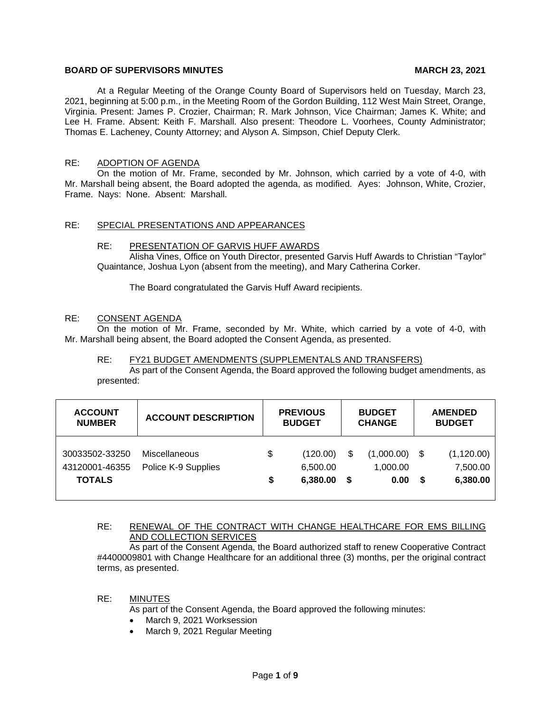# **BOARD OF SUPERVISORS MINUTES MARCH 23, 2021**

At a Regular Meeting of the Orange County Board of Supervisors held on Tuesday, March 23, 2021, beginning at 5:00 p.m., in the Meeting Room of the Gordon Building, 112 West Main Street, Orange, Virginia. Present: James P. Crozier, Chairman; R. Mark Johnson, Vice Chairman; James K. White; and Lee H. Frame. Absent: Keith F. Marshall. Also present: Theodore L. Voorhees, County Administrator; Thomas E. Lacheney, County Attorney; and Alyson A. Simpson, Chief Deputy Clerk.

# RE: ADOPTION OF AGENDA

On the motion of Mr. Frame, seconded by Mr. Johnson, which carried by a vote of 4-0, with Mr. Marshall being absent, the Board adopted the agenda, as modified. Ayes: Johnson, White, Crozier, Frame. Nays: None. Absent: Marshall.

# RE: SPECIAL PRESENTATIONS AND APPEARANCES

#### RE: PRESENTATION OF GARVIS HUFF AWARDS

Alisha Vines, Office on Youth Director, presented Garvis Huff Awards to Christian "Taylor" Quaintance, Joshua Lyon (absent from the meeting), and Mary Catherina Corker.

The Board congratulated the Garvis Huff Award recipients.

#### RE: CONSENT AGENDA

On the motion of Mr. Frame, seconded by Mr. White, which carried by a vote of 4-0, with Mr. Marshall being absent, the Board adopted the Consent Agenda, as presented.

#### RE: FY21 BUDGET AMENDMENTS (SUPPLEMENTALS AND TRANSFERS)

As part of the Consent Agenda, the Board approved the following budget amendments, as presented:

| <b>ACCOUNT</b>                                    | <b>ACCOUNT DESCRIPTION</b>           | <b>PREVIOUS</b> |                                  | <b>BUDGET</b> |                                | <b>AMENDED</b> |                                     |
|---------------------------------------------------|--------------------------------------|-----------------|----------------------------------|---------------|--------------------------------|----------------|-------------------------------------|
| <b>NUMBER</b>                                     |                                      | <b>BUDGET</b>   |                                  | <b>CHANGE</b> |                                | <b>BUDGET</b>  |                                     |
| 30033502-33250<br>43120001-46355<br><b>TOTALS</b> | Miscellaneous<br>Police K-9 Supplies | \$<br>\$        | (120.00)<br>6,500.00<br>6,380.00 | \$<br>S.      | (1,000.00)<br>1.000.00<br>0.00 | S.             | (1, 120.00)<br>7,500.00<br>6,380.00 |

# RE: RENEWAL OF THE CONTRACT WITH CHANGE HEALTHCARE FOR EMS BILLING AND COLLECTION SERVICES

As part of the Consent Agenda, the Board authorized staff to renew Cooperative Contract #4400009801 with Change Healthcare for an additional three (3) months, per the original contract terms, as presented.

#### RE: MINUTES

As part of the Consent Agenda, the Board approved the following minutes:

- March 9, 2021 Worksession
- March 9, 2021 Regular Meeting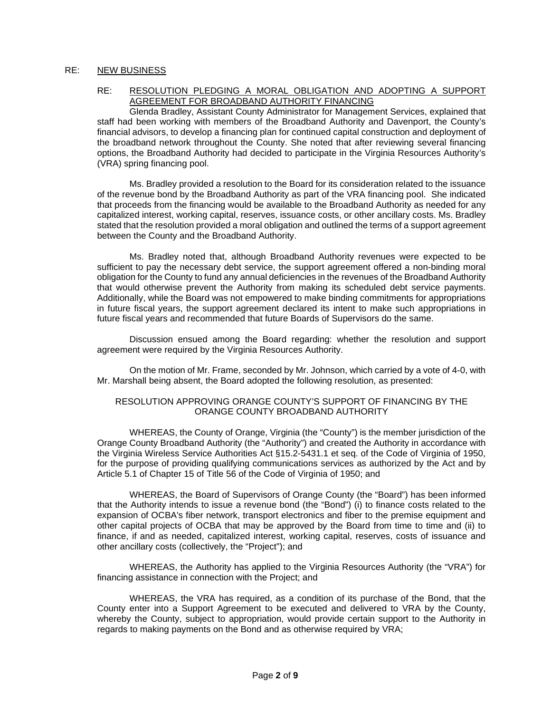# RE: NEW BUSINESS

## RE: RESOLUTION PLEDGING A MORAL OBLIGATION AND ADOPTING A SUPPORT AGREEMENT FOR BROADBAND AUTHORITY FINANCING

Glenda Bradley, Assistant County Administrator for Management Services, explained that staff had been working with members of the Broadband Authority and Davenport, the County's financial advisors, to develop a financing plan for continued capital construction and deployment of the broadband network throughout the County. She noted that after reviewing several financing options, the Broadband Authority had decided to participate in the Virginia Resources Authority's (VRA) spring financing pool.

Ms. Bradley provided a resolution to the Board for its consideration related to the issuance of the revenue bond by the Broadband Authority as part of the VRA financing pool. She indicated that proceeds from the financing would be available to the Broadband Authority as needed for any capitalized interest, working capital, reserves, issuance costs, or other ancillary costs. Ms. Bradley stated that the resolution provided a moral obligation and outlined the terms of a support agreement between the County and the Broadband Authority.

Ms. Bradley noted that, although Broadband Authority revenues were expected to be sufficient to pay the necessary debt service, the support agreement offered a non-binding moral obligation for the County to fund any annual deficiencies in the revenues of the Broadband Authority that would otherwise prevent the Authority from making its scheduled debt service payments. Additionally, while the Board was not empowered to make binding commitments for appropriations in future fiscal years, the support agreement declared its intent to make such appropriations in future fiscal years and recommended that future Boards of Supervisors do the same.

Discussion ensued among the Board regarding: whether the resolution and support agreement were required by the Virginia Resources Authority.

On the motion of Mr. Frame, seconded by Mr. Johnson, which carried by a vote of 4-0, with Mr. Marshall being absent, the Board adopted the following resolution, as presented:

# RESOLUTION APPROVING ORANGE COUNTY'S SUPPORT OF FINANCING BY THE ORANGE COUNTY BROADBAND AUTHORITY

WHEREAS, the County of Orange, Virginia (the "County") is the member jurisdiction of the Orange County Broadband Authority (the "Authority") and created the Authority in accordance with the Virginia Wireless Service Authorities Act §15.2-5431.1 et seq. of the Code of Virginia of 1950, for the purpose of providing qualifying communications services as authorized by the Act and by Article 5.1 of Chapter 15 of Title 56 of the Code of Virginia of 1950; and

WHEREAS, the Board of Supervisors of Orange County (the "Board") has been informed that the Authority intends to issue a revenue bond (the "Bond") (i) to finance costs related to the expansion of OCBA's fiber network, transport electronics and fiber to the premise equipment and other capital projects of OCBA that may be approved by the Board from time to time and (ii) to finance, if and as needed, capitalized interest, working capital, reserves, costs of issuance and other ancillary costs (collectively, the "Project"); and

WHEREAS, the Authority has applied to the Virginia Resources Authority (the "VRA") for financing assistance in connection with the Project; and

WHEREAS, the VRA has required, as a condition of its purchase of the Bond, that the County enter into a Support Agreement to be executed and delivered to VRA by the County, whereby the County, subject to appropriation, would provide certain support to the Authority in regards to making payments on the Bond and as otherwise required by VRA;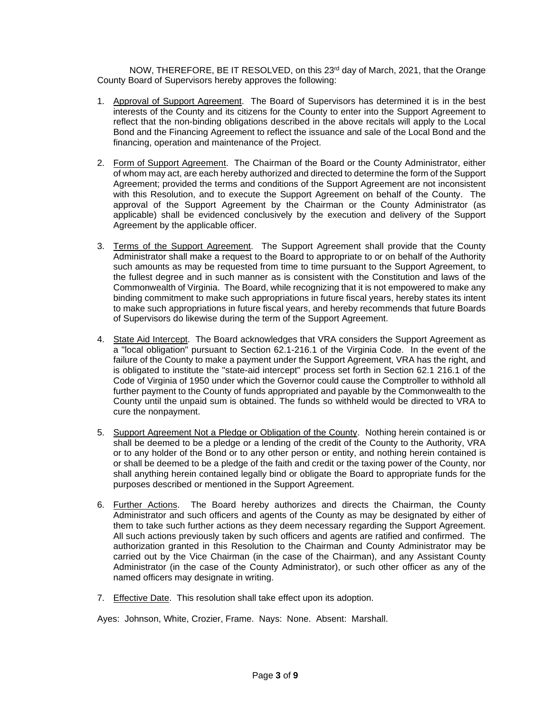NOW, THEREFORE, BE IT RESOLVED, on this 23rd day of March, 2021, that the Orange County Board of Supervisors hereby approves the following:

- 1. Approval of Support Agreement. The Board of Supervisors has determined it is in the best interests of the County and its citizens for the County to enter into the Support Agreement to reflect that the non-binding obligations described in the above recitals will apply to the Local Bond and the Financing Agreement to reflect the issuance and sale of the Local Bond and the financing, operation and maintenance of the Project.
- 2. Form of Support Agreement. The Chairman of the Board or the County Administrator, either of whom may act, are each hereby authorized and directed to determine the form of the Support Agreement; provided the terms and conditions of the Support Agreement are not inconsistent with this Resolution, and to execute the Support Agreement on behalf of the County. The approval of the Support Agreement by the Chairman or the County Administrator (as applicable) shall be evidenced conclusively by the execution and delivery of the Support Agreement by the applicable officer.
- 3. Terms of the Support Agreement. The Support Agreement shall provide that the County Administrator shall make a request to the Board to appropriate to or on behalf of the Authority such amounts as may be requested from time to time pursuant to the Support Agreement, to the fullest degree and in such manner as is consistent with the Constitution and laws of the Commonwealth of Virginia. The Board, while recognizing that it is not empowered to make any binding commitment to make such appropriations in future fiscal years, hereby states its intent to make such appropriations in future fiscal years, and hereby recommends that future Boards of Supervisors do likewise during the term of the Support Agreement.
- 4. State Aid Intercept. The Board acknowledges that VRA considers the Support Agreement as a "local obligation" pursuant to Section 62.1-216.1 of the Virginia Code. In the event of the failure of the County to make a payment under the Support Agreement, VRA has the right, and is obligated to institute the "state-aid intercept" process set forth in Section 62.1 216.1 of the Code of Virginia of 1950 under which the Governor could cause the Comptroller to withhold all further payment to the County of funds appropriated and payable by the Commonwealth to the County until the unpaid sum is obtained. The funds so withheld would be directed to VRA to cure the nonpayment.
- 5. Support Agreement Not a Pledge or Obligation of the County. Nothing herein contained is or shall be deemed to be a pledge or a lending of the credit of the County to the Authority, VRA or to any holder of the Bond or to any other person or entity, and nothing herein contained is or shall be deemed to be a pledge of the faith and credit or the taxing power of the County, nor shall anything herein contained legally bind or obligate the Board to appropriate funds for the purposes described or mentioned in the Support Agreement.
- 6. Further Actions. The Board hereby authorizes and directs the Chairman, the County Administrator and such officers and agents of the County as may be designated by either of them to take such further actions as they deem necessary regarding the Support Agreement. All such actions previously taken by such officers and agents are ratified and confirmed. The authorization granted in this Resolution to the Chairman and County Administrator may be carried out by the Vice Chairman (in the case of the Chairman), and any Assistant County Administrator (in the case of the County Administrator), or such other officer as any of the named officers may designate in writing.
- 7. Effective Date. This resolution shall take effect upon its adoption.

Ayes: Johnson, White, Crozier, Frame. Nays: None. Absent: Marshall.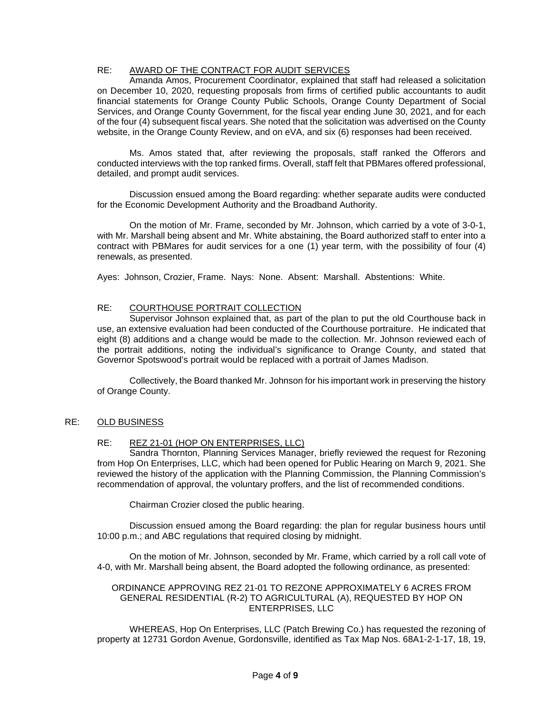# RE: AWARD OF THE CONTRACT FOR AUDIT SERVICES

Amanda Amos, Procurement Coordinator, explained that staff had released a solicitation on December 10, 2020, requesting proposals from firms of certified public accountants to audit financial statements for Orange County Public Schools, Orange County Department of Social Services, and Orange County Government, for the fiscal year ending June 30, 2021, and for each of the four (4) subsequent fiscal years. She noted that the solicitation was advertised on the County website, in the Orange County Review, and on eVA, and six (6) responses had been received.

Ms. Amos stated that, after reviewing the proposals, staff ranked the Offerors and conducted interviews with the top ranked firms. Overall, staff felt that PBMares offered professional, detailed, and prompt audit services.

Discussion ensued among the Board regarding: whether separate audits were conducted for the Economic Development Authority and the Broadband Authority.

On the motion of Mr. Frame, seconded by Mr. Johnson, which carried by a vote of 3-0-1, with Mr. Marshall being absent and Mr. White abstaining, the Board authorized staff to enter into a contract with PBMares for audit services for a one (1) year term, with the possibility of four (4) renewals, as presented.

Ayes: Johnson, Crozier, Frame. Nays: None. Absent: Marshall. Abstentions: White.

# RE: COURTHOUSE PORTRAIT COLLECTION

Supervisor Johnson explained that, as part of the plan to put the old Courthouse back in use, an extensive evaluation had been conducted of the Courthouse portraiture. He indicated that eight (8) additions and a change would be made to the collection. Mr. Johnson reviewed each of the portrait additions, noting the individual's significance to Orange County, and stated that Governor Spotswood's portrait would be replaced with a portrait of James Madison.

Collectively, the Board thanked Mr. Johnson for his important work in preserving the history of Orange County.

## RE: OLD BUSINESS

## RE: REZ 21-01 (HOP ON ENTERPRISES, LLC)

Sandra Thornton, Planning Services Manager, briefly reviewed the request for Rezoning from Hop On Enterprises, LLC, which had been opened for Public Hearing on March 9, 2021. She reviewed the history of the application with the Planning Commission, the Planning Commission's recommendation of approval, the voluntary proffers, and the list of recommended conditions.

Chairman Crozier closed the public hearing.

Discussion ensued among the Board regarding: the plan for regular business hours until 10:00 p.m.; and ABC regulations that required closing by midnight.

On the motion of Mr. Johnson, seconded by Mr. Frame, which carried by a roll call vote of 4-0, with Mr. Marshall being absent, the Board adopted the following ordinance, as presented:

#### ORDINANCE APPROVING REZ 21-01 TO REZONE APPROXIMATELY 6 ACRES FROM GENERAL RESIDENTIAL (R-2) TO AGRICULTURAL (A), REQUESTED BY HOP ON ENTERPRISES, LLC

WHEREAS, Hop On Enterprises, LLC (Patch Brewing Co.) has requested the rezoning of property at 12731 Gordon Avenue, Gordonsville, identified as Tax Map Nos. 68A1-2-1-17, 18, 19,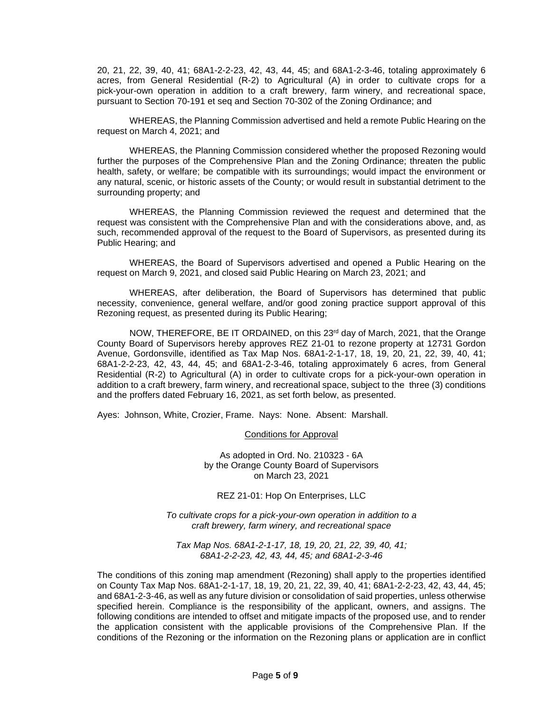20, 21, 22, 39, 40, 41; 68A1-2-2-23, 42, 43, 44, 45; and 68A1-2-3-46, totaling approximately 6 acres, from General Residential (R-2) to Agricultural (A) in order to cultivate crops for a pick-your-own operation in addition to a craft brewery, farm winery, and recreational space, pursuant to Section 70-191 et seq and Section 70-302 of the Zoning Ordinance; and

WHEREAS, the Planning Commission advertised and held a remote Public Hearing on the request on March 4, 2021; and

WHEREAS, the Planning Commission considered whether the proposed Rezoning would further the purposes of the Comprehensive Plan and the Zoning Ordinance; threaten the public health, safety, or welfare; be compatible with its surroundings; would impact the environment or any natural, scenic, or historic assets of the County; or would result in substantial detriment to the surrounding property; and

WHEREAS, the Planning Commission reviewed the request and determined that the request was consistent with the Comprehensive Plan and with the considerations above, and, as such, recommended approval of the request to the Board of Supervisors, as presented during its Public Hearing; and

WHEREAS, the Board of Supervisors advertised and opened a Public Hearing on the request on March 9, 2021, and closed said Public Hearing on March 23, 2021; and

WHEREAS, after deliberation, the Board of Supervisors has determined that public necessity, convenience, general welfare, and/or good zoning practice support approval of this Rezoning request, as presented during its Public Hearing;

NOW, THEREFORE, BE IT ORDAINED, on this 23rd day of March, 2021, that the Orange County Board of Supervisors hereby approves REZ 21-01 to rezone property at 12731 Gordon Avenue, Gordonsville, identified as Tax Map Nos. 68A1-2-1-17, 18, 19, 20, 21, 22, 39, 40, 41; 68A1-2-2-23, 42, 43, 44, 45; and 68A1-2-3-46, totaling approximately 6 acres, from General Residential (R-2) to Agricultural (A) in order to cultivate crops for a pick-your-own operation in addition to a craft brewery, farm winery, and recreational space, subject to the three (3) conditions and the proffers dated February 16, 2021, as set forth below, as presented.

Ayes: Johnson, White, Crozier, Frame. Nays: None. Absent: Marshall.

Conditions for Approval

As adopted in Ord. No. 210323 - 6A by the Orange County Board of Supervisors on March 23, 2021

REZ 21-01: Hop On Enterprises, LLC

*To cultivate crops for a pick-your-own operation in addition to a craft brewery, farm winery, and recreational space*

*Tax Map Nos. 68A1-2-1-17, 18, 19, 20, 21, 22, 39, 40, 41; 68A1-2-2-23, 42, 43, 44, 45; and 68A1-2-3-46*

The conditions of this zoning map amendment (Rezoning) shall apply to the properties identified on County Tax Map Nos. 68A1-2-1-17, 18, 19, 20, 21, 22, 39, 40, 41; 68A1-2-2-23, 42, 43, 44, 45; and 68A1-2-3-46, as well as any future division or consolidation of said properties, unless otherwise specified herein. Compliance is the responsibility of the applicant, owners, and assigns. The following conditions are intended to offset and mitigate impacts of the proposed use, and to render the application consistent with the applicable provisions of the Comprehensive Plan. If the conditions of the Rezoning or the information on the Rezoning plans or application are in conflict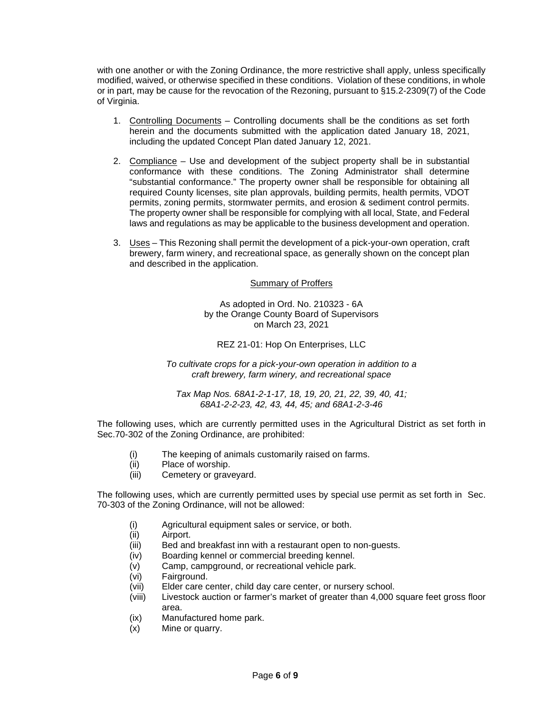with one another or with the Zoning Ordinance, the more restrictive shall apply, unless specifically modified, waived, or otherwise specified in these conditions. Violation of these conditions, in whole or in part, may be cause for the revocation of the Rezoning, pursuant to §15.2-2309(7) of the Code of Virginia.

- 1. Controlling Documents Controlling documents shall be the conditions as set forth herein and the documents submitted with the application dated January 18, 2021, including the updated Concept Plan dated January 12, 2021.
- 2. Compliance Use and development of the subject property shall be in substantial conformance with these conditions. The Zoning Administrator shall determine "substantial conformance." The property owner shall be responsible for obtaining all required County licenses, site plan approvals, building permits, health permits, VDOT permits, zoning permits, stormwater permits, and erosion & sediment control permits. The property owner shall be responsible for complying with all local, State, and Federal laws and regulations as may be applicable to the business development and operation.
- 3. Uses This Rezoning shall permit the development of a pick-your-own operation, craft brewery, farm winery, and recreational space, as generally shown on the concept plan and described in the application.

## Summary of Proffers

As adopted in Ord. No. 210323 - 6A by the Orange County Board of Supervisors on March 23, 2021

## REZ 21-01: Hop On Enterprises, LLC

*To cultivate crops for a pick-your-own operation in addition to a craft brewery, farm winery, and recreational space*

*Tax Map Nos. 68A1-2-1-17, 18, 19, 20, 21, 22, 39, 40, 41; 68A1-2-2-23, 42, 43, 44, 45; and 68A1-2-3-46*

The following uses, which are currently permitted uses in the Agricultural District as set forth in Sec.70-302 of the Zoning Ordinance, are prohibited:

- (i) The keeping of animals customarily raised on farms.
- (ii) Place of worship.
- (iii) Cemetery or graveyard.

The following uses, which are currently permitted uses by special use permit as set forth in Sec. 70-303 of the Zoning Ordinance, will not be allowed:

- (i) Agricultural equipment sales or service, or both.
- (ii) Airport.
- (iii) Bed and breakfast inn with a restaurant open to non-guests.
- (iv) Boarding kennel or commercial breeding kennel.
- (v) Camp, campground, or recreational vehicle park.
- (vi) Fairground.
- (vii) Elder care center, child day care center, or nursery school.
- (viii) Livestock auction or farmer's market of greater than 4,000 square feet gross floor area.
- (ix) Manufactured home park.
- (x) Mine or quarry.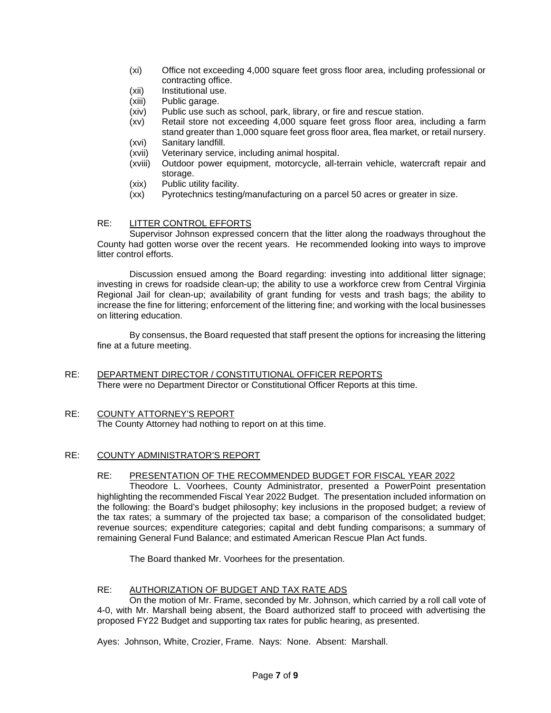- (xi) Office not exceeding 4,000 square feet gross floor area, including professional or contracting office.
- (xii) Institutional use.
- (xiii) Public garage.
- (xiv) Public use such as school, park, library, or fire and rescue station.
- (xv) Retail store not exceeding 4,000 square feet gross floor area, including a farm stand greater than 1,000 square feet gross floor area, flea market, or retail nursery.
- (xvi) Sanitary landfill.<br>(xvii) Veterinary servid
- (xvii) Veterinary service, including animal hospital.
- Outdoor power equipment, motorcycle, all-terrain vehicle, watercraft repair and storage.
- (xix) Public utility facility.
- (xx) Pyrotechnics testing/manufacturing on a parcel 50 acres or greater in size.

# RE: LITTER CONTROL EFFORTS

Supervisor Johnson expressed concern that the litter along the roadways throughout the County had gotten worse over the recent years. He recommended looking into ways to improve litter control efforts.

Discussion ensued among the Board regarding: investing into additional litter signage; investing in crews for roadside clean-up; the ability to use a workforce crew from Central Virginia Regional Jail for clean-up; availability of grant funding for vests and trash bags; the ability to increase the fine for littering; enforcement of the littering fine; and working with the local businesses on littering education.

By consensus, the Board requested that staff present the options for increasing the littering fine at a future meeting.

# RE: DEPARTMENT DIRECTOR / CONSTITUTIONAL OFFICER REPORTS There were no Department Director or Constitutional Officer Reports at this time.

## RE: COUNTY ATTORNEY'S REPORT The County Attorney had nothing to report on at this time.

# RE: COUNTY ADMINISTRATOR'S REPORT

## RE: PRESENTATION OF THE RECOMMENDED BUDGET FOR FISCAL YEAR 2022

Theodore L. Voorhees, County Administrator, presented a PowerPoint presentation highlighting the recommended Fiscal Year 2022 Budget. The presentation included information on the following: the Board's budget philosophy; key inclusions in the proposed budget; a review of the tax rates; a summary of the projected tax base; a comparison of the consolidated budget; revenue sources; expenditure categories; capital and debt funding comparisons; a summary of remaining General Fund Balance; and estimated American Rescue Plan Act funds.

The Board thanked Mr. Voorhees for the presentation.

## RE: AUTHORIZATION OF BUDGET AND TAX RATE ADS

On the motion of Mr. Frame, seconded by Mr. Johnson, which carried by a roll call vote of 4-0, with Mr. Marshall being absent, the Board authorized staff to proceed with advertising the proposed FY22 Budget and supporting tax rates for public hearing, as presented.

Ayes: Johnson, White, Crozier, Frame. Nays: None. Absent: Marshall.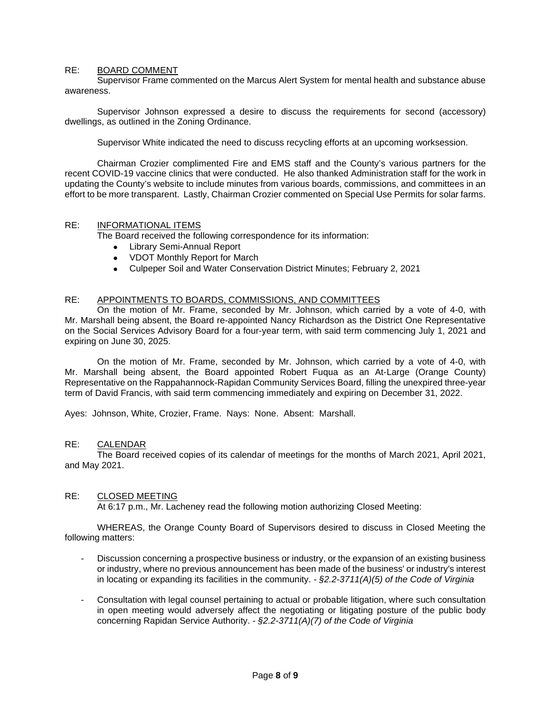# RE: BOARD COMMENT

Supervisor Frame commented on the Marcus Alert System for mental health and substance abuse awareness.

Supervisor Johnson expressed a desire to discuss the requirements for second (accessory) dwellings, as outlined in the Zoning Ordinance.

Supervisor White indicated the need to discuss recycling efforts at an upcoming worksession.

Chairman Crozier complimented Fire and EMS staff and the County's various partners for the recent COVID-19 vaccine clinics that were conducted. He also thanked Administration staff for the work in updating the County's website to include minutes from various boards, commissions, and committees in an effort to be more transparent. Lastly, Chairman Crozier commented on Special Use Permits for solar farms.

# RE: INFORMATIONAL ITEMS

The Board received the following correspondence for its information:

- Library Semi-Annual Report
- VDOT Monthly Report for March
- Culpeper Soil and Water Conservation District Minutes; February 2, 2021

## RE: APPOINTMENTS TO BOARDS, COMMISSIONS, AND COMMITTEES

On the motion of Mr. Frame, seconded by Mr. Johnson, which carried by a vote of 4-0, with Mr. Marshall being absent, the Board re-appointed Nancy Richardson as the District One Representative on the Social Services Advisory Board for a four-year term, with said term commencing July 1, 2021 and expiring on June 30, 2025.

On the motion of Mr. Frame, seconded by Mr. Johnson, which carried by a vote of 4-0, with Mr. Marshall being absent, the Board appointed Robert Fuqua as an At-Large (Orange County) Representative on the Rappahannock-Rapidan Community Services Board, filling the unexpired three-year term of David Francis, with said term commencing immediately and expiring on December 31, 2022.

Ayes: Johnson, White, Crozier, Frame. Nays: None. Absent: Marshall.

#### RE: CALENDAR

The Board received copies of its calendar of meetings for the months of March 2021, April 2021, and May 2021.

#### RE: CLOSED MEETING

At 6:17 p.m., Mr. Lacheney read the following motion authorizing Closed Meeting:

WHEREAS, the Orange County Board of Supervisors desired to discuss in Closed Meeting the following matters:

- Discussion concerning a prospective business or industry, or the expansion of an existing business or industry, where no previous announcement has been made of the business' or industry's interest in locating or expanding its facilities in the community. *- §2.2-3711(A)(5) of the Code of Virginia*
- Consultation with legal counsel pertaining to actual or probable litigation, where such consultation in open meeting would adversely affect the negotiating or litigating posture of the public body concerning Rapidan Service Authority. *- §2.2-3711(A)(7) of the Code of Virginia*